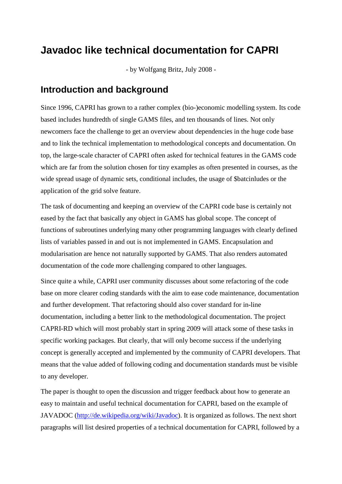### **Javadoc like technical documentation for CAPRI**

- by Wolfgang Britz, July 2008 -

#### **Introduction and background**

Since 1996, CAPRI has grown to a rather complex (bio-)economic modelling system. Its code based includes hundredth of single GAMS files, and ten thousands of lines. Not only newcomers face the challenge to get an overview about dependencies in the huge code base and to link the technical implementation to methodological concepts and documentation. On top, the large-scale character of CAPRI often asked for technical features in the GAMS code which are far from the solution chosen for tiny examples as often presented in courses, as the wide spread usage of dynamic sets, conditional includes, the usage of \$batcinludes or the application of the grid solve feature.

The task of documenting and keeping an overview of the CAPRI code base is certainly not eased by the fact that basically any object in GAMS has global scope. The concept of functions of subroutines underlying many other programming languages with clearly defined lists of variables passed in and out is not implemented in GAMS. Encapsulation and modularisation are hence not naturally supported by GAMS. That also renders automated documentation of the code more challenging compared to other languages.

Since quite a while, CAPRI user community discusses about some refactoring of the code base on more clearer coding standards with the aim to ease code maintenance, documentation and further development. That refactoring should also cover standard for in-line documentation, including a better link to the methodological documentation. The project CAPRI-RD which will most probably start in spring 2009 will attack some of these tasks in specific working packages. But clearly, that will only become success if the underlying concept is generally accepted and implemented by the community of CAPRI developers. That means that the value added of following coding and documentation standards must be visible to any developer.

The paper is thought to open the discussion and trigger feedback about how to generate an easy to maintain and useful technical documentation for CAPRI, based on the example of JAVADOC (http://de.wikipedia.org/wiki/Javadoc). It is organized as follows. The next short paragraphs will list desired properties of a technical documentation for CAPRI, followed by a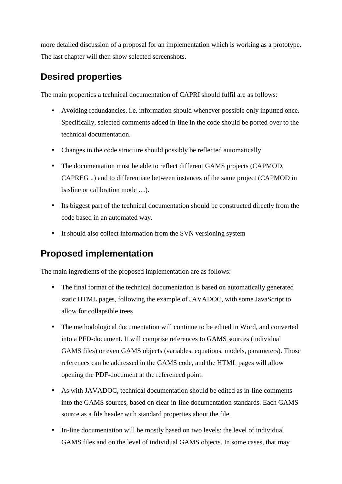more detailed discussion of a proposal for an implementation which is working as a prototype. The last chapter will then show selected screenshots.

### **Desired properties**

The main properties a technical documentation of CAPRI should fulfil are as follows:

- Avoiding redundancies, i.e. information should whenever possible only inputted once. Specifically, selected comments added in-line in the code should be ported over to the technical documentation.
- Changes in the code structure should possibly be reflected automatically
- The documentation must be able to reflect different GAMS projects (CAPMOD, CAPREG ..) and to differentiate between instances of the same project (CAPMOD in basline or calibration mode …).
- Its biggest part of the technical documentation should be constructed directly from the code based in an automated way.
- It should also collect information from the SVN versioning system

### **Proposed implementation**

The main ingredients of the proposed implementation are as follows:

- The final format of the technical documentation is based on automatically generated static HTML pages, following the example of JAVADOC, with some JavaScript to allow for collapsible trees
- The methodological documentation will continue to be edited in Word, and converted into a PFD-document. It will comprise references to GAMS sources (individual GAMS files) or even GAMS objects (variables, equations, models, parameters). Those references can be addressed in the GAMS code, and the HTML pages will allow opening the PDF-document at the referenced point.
- As with JAVADOC, technical documentation should be edited as in-line comments into the GAMS sources, based on clear in-line documentation standards. Each GAMS source as a file header with standard properties about the file.
- In-line documentation will be mostly based on two levels: the level of individual GAMS files and on the level of individual GAMS objects. In some cases, that may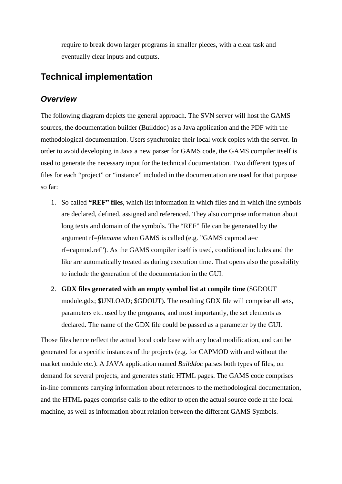require to break down larger programs in smaller pieces, with a clear task and eventually clear inputs and outputs.

### **Technical implementation**

#### *Overview*

The following diagram depicts the general approach. The SVN server will host the GAMS sources, the documentation builder (Builddoc) as a Java application and the PDF with the methodological documentation. Users synchronize their local work copies with the server. In order to avoid developing in Java a new parser for GAMS code, the GAMS compiler itself is used to generate the necessary input for the technical documentation. Two different types of files for each "project" or "instance" included in the documentation are used for that purpose so far:

- 1. So called **"REF" files**, which list information in which files and in which line symbols are declared, defined, assigned and referenced. They also comprise information about long texts and domain of the symbols. The "REF" file can be generated by the argument rf=*filename* when GAMS is called (e.g. "GAMS capmod a=c rf=capmod.ref"). As the GAMS compiler itself is used, conditional includes and the like are automatically treated as during execution time. That opens also the possibility to include the generation of the documentation in the GUI.
- 2. **GDX files generated with an empty symbol list at compile time** (\$GDOUT module.gdx; \$UNLOAD; \$GDOUT). The resulting GDX file will comprise all sets, parameters etc. used by the programs, and most importantly, the set elements as declared. The name of the GDX file could be passed as a parameter by the GUI.

Those files hence reflect the actual local code base with any local modification, and can be generated for a specific instances of the projects (e.g. for CAPMOD with and without the market module etc.). A JAVA application named *Builddoc* parses both types of files, on demand for several projects, and generates static HTML pages. The GAMS code comprises in-line comments carrying information about references to the methodological documentation, and the HTML pages comprise calls to the editor to open the actual source code at the local machine, as well as information about relation between the different GAMS Symbols.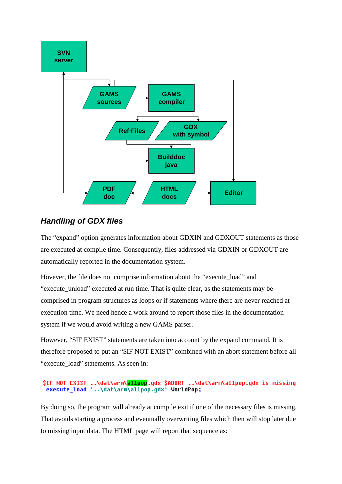

#### *Handling of GDX files*

The "expand" option generates information about GDXIN and GDXOUT statements as those are executed at compile time. Consequently, files addressed via GDXIN or GDXOUT are automatically reported in the documentation system.

Hovever, the file does not comprise information about the "execute\_load" and "execute\_unload" executed at run time. That is quite clear, as the statements may be comprised in program structures as loops or if statements where there are never reached at execution time. We need hence a work around to report those files in the documentation system if we would avoid writing a new GAMS parser.

However, "\$IF EXIST" statements are taken into account by the expand command. It is therefore proposed to put an "\$IF NOT EXIST" combined with an abort statement before all "execute load" statements. As seen in:

#### \$IF NOT EXIST ..\dat\arm\allpop.qdx \$ABORT ..\dat\arm\allpop.qdx is missing execute load '..\dat\arm\allpop.qdx' WorldPop;

By doing so, the program will already at compile exit if one of the necessary files is missing. That avoids starting a process and eventually overwriting files which then will stop later due to missing input data. The HTML page will report that sequence as: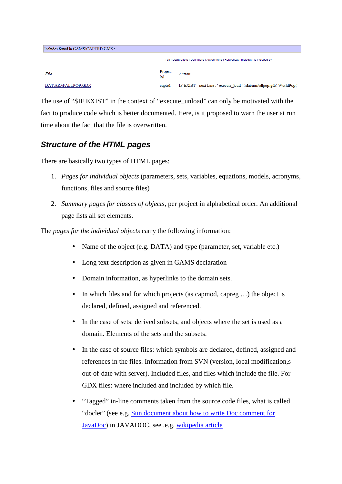| Includes found in GAMS\CAPTRD.GMS:                                                      |                |                                                                        |  |  |  |
|-----------------------------------------------------------------------------------------|----------------|------------------------------------------------------------------------|--|--|--|
| Top   Declarations   Definitions   Assignments   References   Includes   Is included by |                |                                                                        |  |  |  |
| File                                                                                    | Project<br>(s) | Action                                                                 |  |  |  |
| DAT\ARM\ALLPOP.GDX                                                                      | captrd         | IF EXIST - next Line : ' execute load '\dat\arm\allpop.gdx' WorldPop;' |  |  |  |

The use of "\$IF EXIST" in the context of "execute\_unload" can only be motivated with the fact to produce code which is better documented. Here, is it proposed to warn the user at run time about the fact that the file is overwritten.

#### *Structure of the HTML pages*

There are basically two types of HTML pages:

- 1. *Pages for individual objects* (parameters, sets, variables, equations, models, acronyms, functions, files and source files)
- 2. *Summary pages for classes of objects*, per project in alphabetical order. An additional page lists all set elements.

The *pages for the individual objects* carry the following information:

- Name of the object (e.g. DATA) and type (parameter, set, variable etc.)
- Long text description as given in GAMS declaration
- Domain information, as hyperlinks to the domain sets.
- In which files and for which projects (as capmod, capreg ...) the object is declared, defined, assigned and referenced.
- In the case of sets: derived subsets, and objects where the set is used as a domain. Elements of the sets and the subsets.
- In the case of source files: which symbols are declared, defined, assigned and references in the files. Information from SVN (version, local modification,s out-of-date with server). Included files, and files which include the file. For GDX files: where included and included by which file.
- "Tagged" in-line comments taken from the source code files, what is called "doclet" (see e.g. Sun document about how to write Doc comment for JavaDoc) in JAVADOC, see .e.g. wikipedia article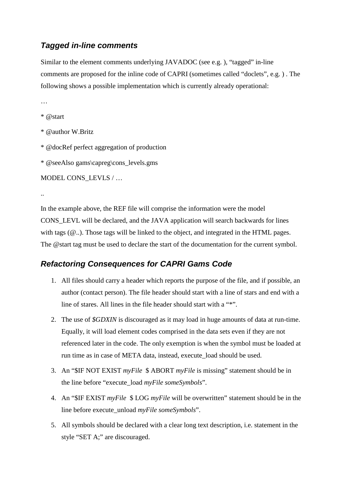#### *Tagged in-line comments*

Similar to the element comments underlying JAVADOC (see e.g. ), "tagged" in-line comments are proposed for the inline code of CAPRI (sometimes called "doclets", e.g. ) . The following shows a possible implementation which is currently already operational:

…

\* @start

\* @author W.Britz

\* @docRef perfect aggregation of production

\* @seeAlso gams\capreg\cons\_levels.gms

MODEL CONS\_LEVLS / …

..

In the example above, the REF file will comprise the information were the model CONS\_LEVL will be declared, and the JAVA application will search backwards for lines with tags ( $@..)$ ). Those tags will be linked to the object, and integrated in the HTML pages. The @start tag must be used to declare the start of the documentation for the current symbol.

#### *Refactoring Consequences for CAPRI Gams Code*

- 1. All files should carry a header which reports the purpose of the file, and if possible, an author (contact person). The file header should start with a line of stars and end with a line of stares. All lines in the file header should start with a "\*".
- 2. The use of *\$GDXIN* is discouraged as it may load in huge amounts of data at run-time. Equally, it will load element codes comprised in the data sets even if they are not referenced later in the code. The only exemption is when the symbol must be loaded at run time as in case of META data, instead, execute\_load should be used.
- 3. An "\$IF NOT EXIST *myFile* \$ ABORT *myFile* is missing" statement should be in the line before "execute\_load *myFile someSymbols*".
- 4. An "\$IF EXIST *myFile* \$ LOG *myFile* will be overwritten" statement should be in the line before execute\_unload *myFile someSymbols*".
- 5. All symbols should be declared with a clear long text description, i.e. statement in the style "SET A;" are discouraged.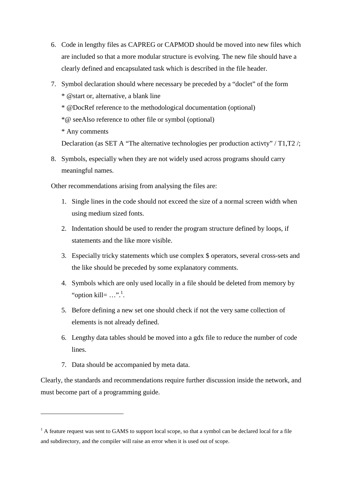- 6. Code in lengthy files as CAPREG or CAPMOD should be moved into new files which are included so that a more modular structure is evolving. The new file should have a clearly defined and encapsulated task which is described in the file header.
- 7. Symbol declaration should where necessary be preceded by a "doclet" of the form \* @start or, alternative, a blank line
	- \* @DocRef reference to the methodological documentation (optional)
	- \*@ seeAlso reference to other file or symbol (optional)
	- \* Any comments

Declaration (as SET A "The alternative technologies per production activty" / T1,T2 /;

8. Symbols, especially when they are not widely used across programs should carry meaningful names.

Other recommendations arising from analysing the files are:

- 1. Single lines in the code should not exceed the size of a normal screen width when using medium sized fonts.
- 2. Indentation should be used to render the program structure defined by loops, if statements and the like more visible.
- 3. Especially tricky statements which use complex \$ operators, several cross-sets and the like should be preceded by some explanatory comments.
- 4. Symbols which are only used locally in a file should be deleted from memory by "option kill= $...$ ".
- 5. Before defining a new set one should check if not the very same collection of elements is not already defined.
- 6. Lengthy data tables should be moved into a gdx file to reduce the number of code lines.
- 7. Data should be accompanied by meta data.

Clearly, the standards and recommendations require further discussion inside the network, and must become part of a programming guide.

 $<sup>1</sup>$  A feature request was sent to GAMS to support local scope, so that a symbol can be declared local for a file</sup> and subdirectory, and the compiler will raise an error when it is used out of scope.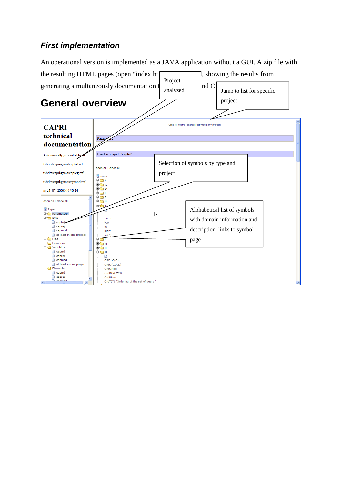### *First implementation*

An operational version is implemented as a JAVA application without a GUI. A zip file with

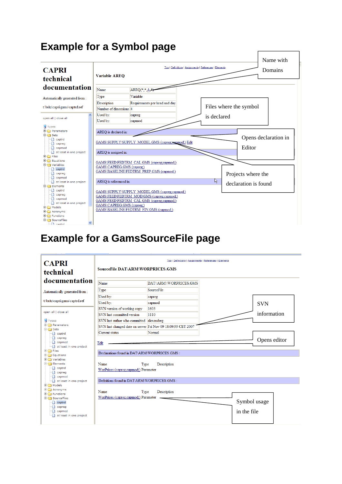# **Example for a Symbol page**



# **Example for a GamsSourceFile page**

| <b>CAPRI</b><br>technical                                                                                                                      | Top   Definitions   Assignments   References   Elements<br><b>SourceFile DAT\ARM\WORPRICES.GMS</b> |                                                              |  |                             |  |
|------------------------------------------------------------------------------------------------------------------------------------------------|----------------------------------------------------------------------------------------------------|--------------------------------------------------------------|--|-----------------------------|--|
| documentation                                                                                                                                  | Name                                                                                               | DAT\ARM\\WORPRICES.GMS                                       |  |                             |  |
| Automatically generated from:                                                                                                                  | Type                                                                                               | SourceFile                                                   |  |                             |  |
| t:\britz\capri\gams\captrd.ref                                                                                                                 | Used by:                                                                                           | capreg                                                       |  |                             |  |
|                                                                                                                                                | Used by:                                                                                           | capmod                                                       |  | <b>SVN</b>                  |  |
| open all   close all                                                                                                                           | SVN version of working copy                                                                        | 1603                                                         |  |                             |  |
|                                                                                                                                                | SVN last committed version                                                                         | 1110                                                         |  | information                 |  |
| <b>Types</b>                                                                                                                                   | SVN last author who committed alexanderg                                                           |                                                              |  |                             |  |
| <b>E</b> Parameters<br><b>D</b> <del>∩</del> Sets                                                                                              |                                                                                                    | SVN last changed date on server Fri Nov 09 18:09:55 CET 2007 |  |                             |  |
| captrd                                                                                                                                         | Current status                                                                                     | Normal                                                       |  |                             |  |
| capreg<br>capmod<br>at least in one project                                                                                                    | Edit                                                                                               |                                                              |  | Opens editor                |  |
| <b>E-C</b> Files                                                                                                                               | Declarations found in DAT\ARM\WORPRICES.GMS:                                                       |                                                              |  |                             |  |
| Equations<br>D Variables                                                                                                                       |                                                                                                    |                                                              |  |                             |  |
| $\Box$ $\ominus$ Elements<br>$\Box$ captrd<br>capreg<br>capmod                                                                                 | Name<br>Description<br>Type<br>WorPrices (capreg;capmod;) Parameter                                |                                                              |  |                             |  |
| at least in one project                                                                                                                        | Definitions found in DAT\ARM\WORPRICES.GMS:                                                        |                                                              |  |                             |  |
| <b>E</b> Models<br>$\Box$ Acronyms<br>$\Box$ Functions<br><b>E</b> SourceFiles<br>captrd<br>$\Box$ capreg<br>capmod<br>at least in one project | Name<br>Type<br>WorPrices (capreg:capmod:) Parameter                                               | Description                                                  |  | Symbol usage<br>in the file |  |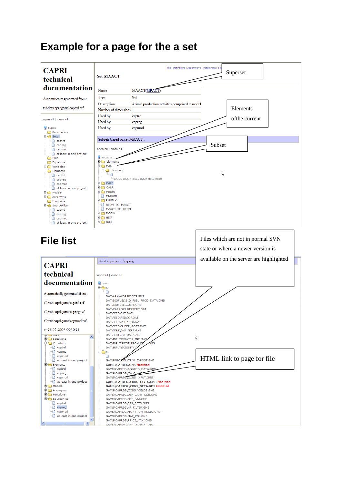# **Example for a page for the a set**